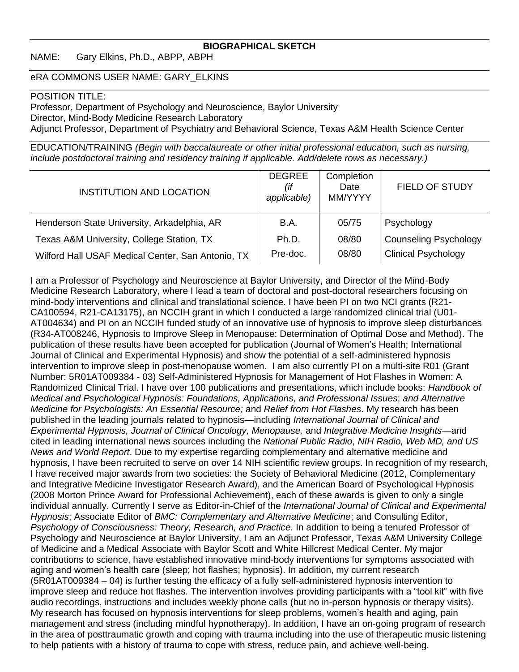### **BIOGRAPHICAL SKETCH**

NAME: Gary Elkins, Ph.D., ABPP, ABPH

### eRA COMMONS USER NAME: GARY\_ELKINS

#### POSITION TITLE:

Professor, Department of Psychology and Neuroscience, Baylor University Director, Mind-Body Medicine Research Laboratory Adjunct Professor, Department of Psychiatry and Behavioral Science, Texas A&M Health Science Center

EDUCATION/TRAINING *(Begin with baccalaureate or other initial professional education, such as nursing, include postdoctoral training and residency training if applicable. Add/delete rows as necessary.)*

| <b>INSTITUTION AND LOCATION</b>                   | <b>DEGREE</b><br>(if<br>applicable) | Completion<br>Date<br>MM/YYYY | <b>FIELD OF STUDY</b>        |
|---------------------------------------------------|-------------------------------------|-------------------------------|------------------------------|
| Henderson State University, Arkadelphia, AR       | B.A.                                | 05/75                         | Psychology                   |
| Texas A&M University, College Station, TX         | Ph.D.                               | 08/80                         | <b>Counseling Psychology</b> |
| Wilford Hall USAF Medical Center, San Antonio, TX | Pre-doc.                            | 08/80                         | <b>Clinical Psychology</b>   |

I am a Professor of Psychology and Neuroscience at Baylor University, and Director of the Mind-Body Medicine Research Laboratory, where I lead a team of doctoral and post-doctoral researchers focusing on mind-body interventions and clinical and translational science. I have been PI on two NCI grants (R21- CA100594, R21-CA13175), an NCCIH grant in which I conducted a large randomized clinical trial (U01- AT004634) and PI on an NCCIH funded study of an innovative use of hypnosis to improve sleep disturbances (R34-AT008246, Hypnosis to Improve Sleep in Menopause: Determination of Optimal Dose and Method). The publication of these results have been accepted for publication (Journal of Women's Health; International Journal of Clinical and Experimental Hypnosis) and show the potential of a self-administered hypnosis intervention to improve sleep in post-menopause women. I am also currently PI on a multi-site R01 (Grant Number: 5R01AT009384 - 03) Self-Administered Hypnosis for Management of Hot Flashes in Women: A Randomized Clinical Trial. I have over 100 publications and presentations, which include books: *Handbook of Medical and Psychological Hypnosis: Foundations, Applications, and Professional Issues*; *and Alternative Medicine for Psychologists: An Essential Resource;* and *Relief from Hot Flashes*. My research has been published in the leading journals related to hypnosis—including *International Journal of Clinical and Experimental Hypnosis, Journal of Clinical Oncology, Menopause,* and *Integrative Medicine Insights*—and cited in leading international news sources including the *National Public Radio*, *NIH Radio, Web MD, and US News and World Report*. Due to my expertise regarding complementary and alternative medicine and hypnosis, I have been recruited to serve on over 14 NIH scientific review groups. In recognition of my research, I have received major awards from two societies: the Society of Behavioral Medicine (2012, Complementary and Integrative Medicine Investigator Research Award), and the American Board of Psychological Hypnosis (2008 Morton Prince Award for Professional Achievement), each of these awards is given to only a single individual annually. Currently I serve as Editor-in-Chief of the *International Journal of Clinical and Experimental Hypnosis*; Associate Editor of *BMC: Complementary and Alternative Medicine*; and Consulting Editor, *Psychology of Consciousness: Theory, Research, and Practice.* In addition to being a tenured Professor of Psychology and Neuroscience at Baylor University, I am an Adjunct Professor, Texas A&M University College of Medicine and a Medical Associate with Baylor Scott and White Hillcrest Medical Center. My major contributions to science, have established innovative mind-body interventions for symptoms associated with aging and women's health care (sleep; hot flashes; hypnosis). In addition, my current research (5R01AT009384 – 04) is further testing the efficacy of a fully self-administered hypnosis intervention to improve sleep and reduce hot flashes*.* The intervention involves providing participants with a "tool kit" with five audio recordings, instructions and includes weekly phone calls (but no in-person hypnosis or therapy visits). My research has focused on hypnosis interventions for sleep problems, women's health and aging, pain management and stress (including mindful hypnotherapy). In addition, I have an on-going program of research in the area of posttraumatic growth and coping with trauma including into the use of therapeutic music listening to help patients with a history of trauma to cope with stress, reduce pain, and achieve well-being.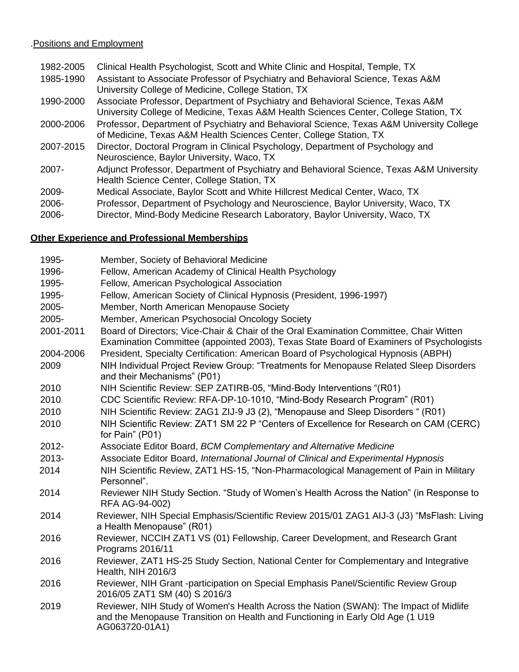# .Positions and Employment

| 1982-2005 | Clinical Health Psychologist, Scott and White Clinic and Hospital, Temple, TX            |
|-----------|------------------------------------------------------------------------------------------|
| 1985-1990 | Assistant to Associate Professor of Psychiatry and Behavioral Science, Texas A&M         |
|           | University College of Medicine, College Station, TX                                      |
| 1990-2000 | Associate Professor, Department of Psychiatry and Behavioral Science, Texas A&M          |
|           | University College of Medicine, Texas A&M Health Sciences Center, College Station, TX    |
| 2000-2006 | Professor, Department of Psychiatry and Behavioral Science, Texas A&M University College |
|           | of Medicine, Texas A&M Health Sciences Center, College Station, TX                       |
| 2007-2015 | Director, Doctoral Program in Clinical Psychology, Department of Psychology and          |
|           | Neuroscience, Baylor University, Waco, TX                                                |
| $2007 -$  | Adjunct Professor, Department of Psychiatry and Behavioral Science, Texas A&M University |
|           | Health Science Center, College Station, TX                                               |
| 2009-     | Medical Associate, Baylor Scott and White Hillcrest Medical Center, Waco, TX             |
| 2006-     | Professor, Department of Psychology and Neuroscience, Baylor University, Waco, TX        |
| 2006-     | Director, Mind-Body Medicine Research Laboratory, Baylor University, Waco, TX            |
|           |                                                                                          |

## **Other Experience and Professional Memberships**

| 1995-     | Member, Society of Behavioral Medicine                                                                                                                                                    |
|-----------|-------------------------------------------------------------------------------------------------------------------------------------------------------------------------------------------|
| 1996-     | Fellow, American Academy of Clinical Health Psychology                                                                                                                                    |
| 1995-     | Fellow, American Psychological Association                                                                                                                                                |
| 1995-     | Fellow, American Society of Clinical Hypnosis (President, 1996-1997)                                                                                                                      |
| 2005-     | Member, North American Menopause Society                                                                                                                                                  |
| 2005-     | Member, American Psychosocial Oncology Society                                                                                                                                            |
| 2001-2011 | Board of Directors; Vice-Chair & Chair of the Oral Examination Committee, Chair Witten<br>Examination Committee (appointed 2003), Texas State Board of Examiners of Psychologists         |
| 2004-2006 | President, Specialty Certification: American Board of Psychological Hypnosis (ABPH)                                                                                                       |
| 2009      | NIH Individual Project Review Group: "Treatments for Menopause Related Sleep Disorders<br>and their Mechanisms" (P01)                                                                     |
| 2010      | NIH Scientific Review: SEP ZATIRB-05, "Mind-Body Interventions "(R01)                                                                                                                     |
| 2010      | CDC Scientific Review: RFA-DP-10-1010, "Mind-Body Research Program" (R01)                                                                                                                 |
| 2010      | NIH Scientific Review: ZAG1 ZIJ-9 J3 (2), "Menopause and Sleep Disorders " (R01)                                                                                                          |
| 2010      | NIH Scientific Review: ZAT1 SM 22 P "Centers of Excellence for Research on CAM (CERC)                                                                                                     |
|           | for Pain" (P01)                                                                                                                                                                           |
| 2012-     | Associate Editor Board, BCM Complementary and Alternative Medicine                                                                                                                        |
| 2013-     | Associate Editor Board, International Journal of Clinical and Experimental Hypnosis                                                                                                       |
| 2014      | NIH Scientific Review, ZAT1 HS-15, "Non-Pharmacological Management of Pain in Military<br>Personnel".                                                                                     |
| 2014      | Reviewer NIH Study Section. "Study of Women's Health Across the Nation" (in Response to<br>RFA AG-94-002)                                                                                 |
| 2014      | Reviewer, NIH Special Emphasis/Scientific Review 2015/01 ZAG1 AIJ-3 (J3) "MsFlash: Living<br>a Health Menopause" (R01)                                                                    |
| 2016      | Reviewer, NCCIH ZAT1 VS (01) Fellowship, Career Development, and Research Grant<br>Programs 2016/11                                                                                       |
| 2016      | Reviewer, ZAT1 HS-25 Study Section, National Center for Complementary and Integrative<br>Health, NIH 2016/3                                                                               |
| 2016      | Reviewer, NIH Grant -participation on Special Emphasis Panel/Scientific Review Group<br>2016/05 ZAT1 SM (40) S 2016/3                                                                     |
| 2019      | Reviewer, NIH Study of Women's Health Across the Nation (SWAN): The Impact of Midlife<br>and the Menopause Transition on Health and Functioning in Early Old Age (1 U19<br>AG063720-01A1) |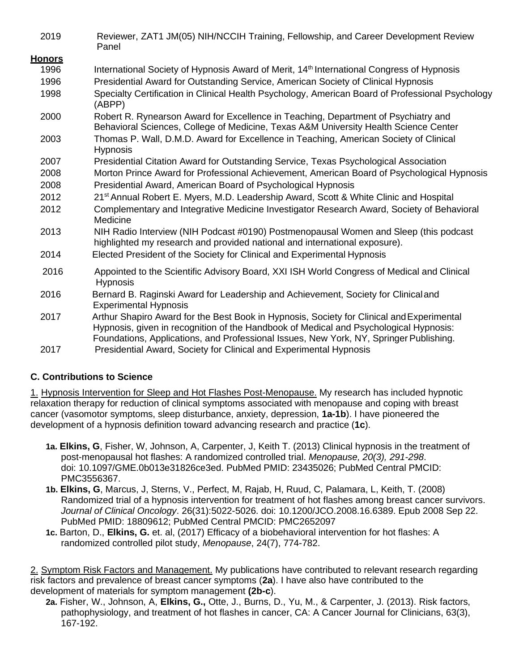| 2019          | Reviewer, ZAT1 JM(05) NIH/NCCIH Training, Fellowship, and Career Development Review<br>Panel                                                                                                                                                                                 |
|---------------|------------------------------------------------------------------------------------------------------------------------------------------------------------------------------------------------------------------------------------------------------------------------------|
| <u>Honors</u> |                                                                                                                                                                                                                                                                              |
| 1996          | International Society of Hypnosis Award of Merit, 14 <sup>th</sup> International Congress of Hypnosis                                                                                                                                                                        |
| 1996          | Presidential Award for Outstanding Service, American Society of Clinical Hypnosis                                                                                                                                                                                            |
| 1998          | Specialty Certification in Clinical Health Psychology, American Board of Professional Psychology<br>(ABPP)                                                                                                                                                                   |
| 2000          | Robert R. Rynearson Award for Excellence in Teaching, Department of Psychiatry and<br>Behavioral Sciences, College of Medicine, Texas A&M University Health Science Center                                                                                                   |
| 2003          | Thomas P. Wall, D.M.D. Award for Excellence in Teaching, American Society of Clinical<br><b>Hypnosis</b>                                                                                                                                                                     |
| 2007          | Presidential Citation Award for Outstanding Service, Texas Psychological Association                                                                                                                                                                                         |
| 2008          | Morton Prince Award for Professional Achievement, American Board of Psychological Hypnosis                                                                                                                                                                                   |
| 2008          | Presidential Award, American Board of Psychological Hypnosis                                                                                                                                                                                                                 |
| 2012          | 21 <sup>st</sup> Annual Robert E. Myers, M.D. Leadership Award, Scott & White Clinic and Hospital                                                                                                                                                                            |
| 2012          | Complementary and Integrative Medicine Investigator Research Award, Society of Behavioral<br>Medicine                                                                                                                                                                        |
| 2013          | NIH Radio Interview (NIH Podcast #0190) Postmenopausal Women and Sleep (this podcast<br>highlighted my research and provided national and international exposure).                                                                                                           |
| 2014          | Elected President of the Society for Clinical and Experimental Hypnosis                                                                                                                                                                                                      |
| 2016          | Appointed to the Scientific Advisory Board, XXI ISH World Congress of Medical and Clinical<br><b>Hypnosis</b>                                                                                                                                                                |
| 2016          | Bernard B. Raginski Award for Leadership and Achievement, Society for Clinical and<br><b>Experimental Hypnosis</b>                                                                                                                                                           |
| 2017          | Arthur Shapiro Award for the Best Book in Hypnosis, Society for Clinical and Experimental<br>Hypnosis, given in recognition of the Handbook of Medical and Psychological Hypnosis:<br>Foundations, Applications, and Professional Issues, New York, NY, Springer Publishing. |
| 2017          | Presidential Award, Society for Clinical and Experimental Hypnosis                                                                                                                                                                                                           |

## **C. Contributions to Science**

1. Hypnosis Intervention for Sleep and Hot Flashes Post-Menopause. My research has included hypnotic relaxation therapy for reduction of clinical symptoms associated with menopause and coping with breast cancer (vasomotor symptoms, sleep disturbance, anxiety, depression, **1a-1b**). I have pioneered the development of a hypnosis definition toward advancing research and practice (**1c**).

- **1a. Elkins, G**, Fisher, W, Johnson, A, Carpenter, J, Keith T. (2013) Clinical hypnosis in the treatment of post-menopausal hot flashes: A randomized controlled trial. *Menopause, 20(3), 291-298*. doi: 10.1097/GME.0b013e31826ce3ed. PubMed PMID: 23435026; PubMed Central PMCID: PMC3556367.
- **1b. Elkins, G**, Marcus, J, Sterns, V., Perfect, M, Rajab, H, Ruud, C, Palamara, L, Keith, T. (2008) Randomized trial of a hypnosis intervention for treatment of hot flashes among breast cancer survivors. *Journal of Clinical Oncology*. 26(31):5022-5026. doi: 10.1200/JCO.2008.16.6389. Epub 2008 Sep 22. PubMed PMID: 18809612; PubMed Central PMCID: PMC2652097
- **1c.** Barton, D., **Elkins, G.** et. al, (2017) Efficacy of a biobehavioral intervention for hot flashes: A randomized controlled pilot study, *Menopause*, 24(7), 774-782.

2. Symptom Risk Factors and Management. My publications have contributed to relevant research regarding risk factors and prevalence of breast cancer symptoms (**2a**). I have also have contributed to the development of materials for symptom management **(2b-c**).

**2a.** Fisher, W., Johnson, A, **Elkins, G.,** Otte, J., Burns, D., Yu, M., & Carpenter, J. (2013). Risk factors, pathophysiology, and treatment of hot flashes in cancer, CA: A Cancer Journal for Clinicians, 63(3), 167-192.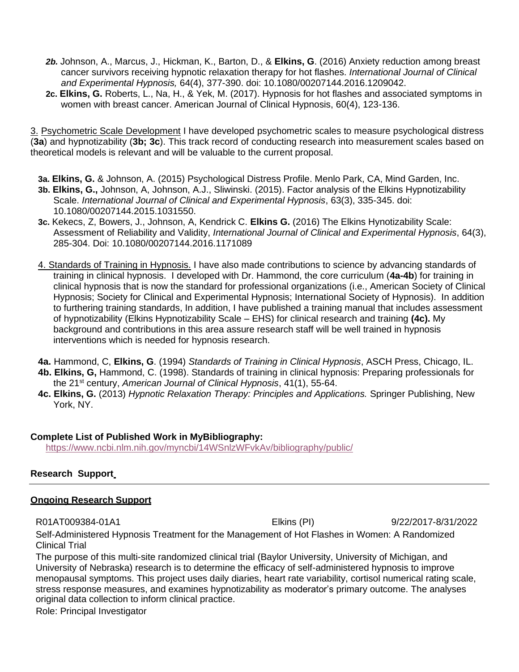- *2b.* Johnson, A., Marcus, J., Hickman, K., Barton, D., & **Elkins, G**. (2016) Anxiety reduction among breast cancer survivors receiving hypnotic relaxation therapy for hot flashes. *International Journal of Clinical and Experimental Hypnosis,* 64(4), 377-390. doi: 10.1080/00207144.2016.1209042.
- **2c. Elkins, G.** Roberts, L., Na, H., & Yek, M. (2017). Hypnosis for hot flashes and associated symptoms in women with breast cancer. American Journal of Clinical Hypnosis, 60(4), 123-136.

3. Psychometric Scale Development I have developed psychometric scales to measure psychological distress (**3a**) and hypnotizability (**3b; 3c**). This track record of conducting research into measurement scales based on theoretical models is relevant and will be valuable to the current proposal.

- **3a. Elkins, G.** & Johnson, A. (2015) Psychological Distress Profile. Menlo Park, CA, Mind Garden, Inc.
- **3b. Elkins, G.,** Johnson, A, Johnson, A.J., Sliwinski. (2015). Factor analysis of the Elkins Hypnotizability Scale. *International Journal of Clinical and Experimental Hypnosis*, 63(3), 335-345. doi: 10.1080/00207144.2015.1031550.
- **3c.** Kekecs, Z, Bowers, J., Johnson, A, Kendrick C. **Elkins G.** (2016) The Elkins Hynotizability Scale: Assessment of Reliability and Validity, *International Journal of Clinical and Experimental Hypnosis*, 64(3), 285-304. Doi: 10.1080/00207144.2016.1171089
- 4. Standards of Training in Hypnosis. I have also made contributions to science by advancing standards of training in clinical hypnosis. I developed with Dr. Hammond, the core curriculum (**4a-4b**) for training in clinical hypnosis that is now the standard for professional organizations (i.e., American Society of Clinical Hypnosis; Society for Clinical and Experimental Hypnosis; International Society of Hypnosis). In addition to furthering training standards, In addition, I have published a training manual that includes assessment of hypnotizability (Elkins Hypnotizability Scale – EHS) for clinical research and training **(4c).** My background and contributions in this area assure research staff will be well trained in hypnosis interventions which is needed for hypnosis research.
- **4a.** Hammond, C, **Elkins, G**. (1994) *Standards of Training in Clinical Hypnosis*, ASCH Press, Chicago, IL.
- **4b. Elkins, G,** Hammond, C. (1998). Standards of training in clinical hypnosis: Preparing professionals for the 21st century, *American Journal of Clinical Hypnosis*, 41(1), 55-64.
- **4c. Elkins, G.** (2013) *Hypnotic Relaxation Therapy: Principles and Applications.* Springer Publishing, New York, NY.

### **Complete List of Published Work in MyBibliography:**

<https://www.ncbi.nlm.nih.gov/myncbi/14WSnlzWFvkAv/bibliography/public/>

### **Research Support**

#### **Ongoing Research Support**

R01AT009384-01A1 Elkins (PI) 9/22/2017-8/31/2022

Self-Administered Hypnosis Treatment for the Management of Hot Flashes in Women: A Randomized Clinical Trial

The purpose of this multi-site randomized clinical trial (Baylor University, University of Michigan, and University of Nebraska) research is to determine the efficacy of self-administered hypnosis to improve menopausal symptoms. This project uses daily diaries, heart rate variability, cortisol numerical rating scale, stress response measures, and examines hypnotizability as moderator's primary outcome. The analyses original data collection to inform clinical practice.

Role: Principal Investigator